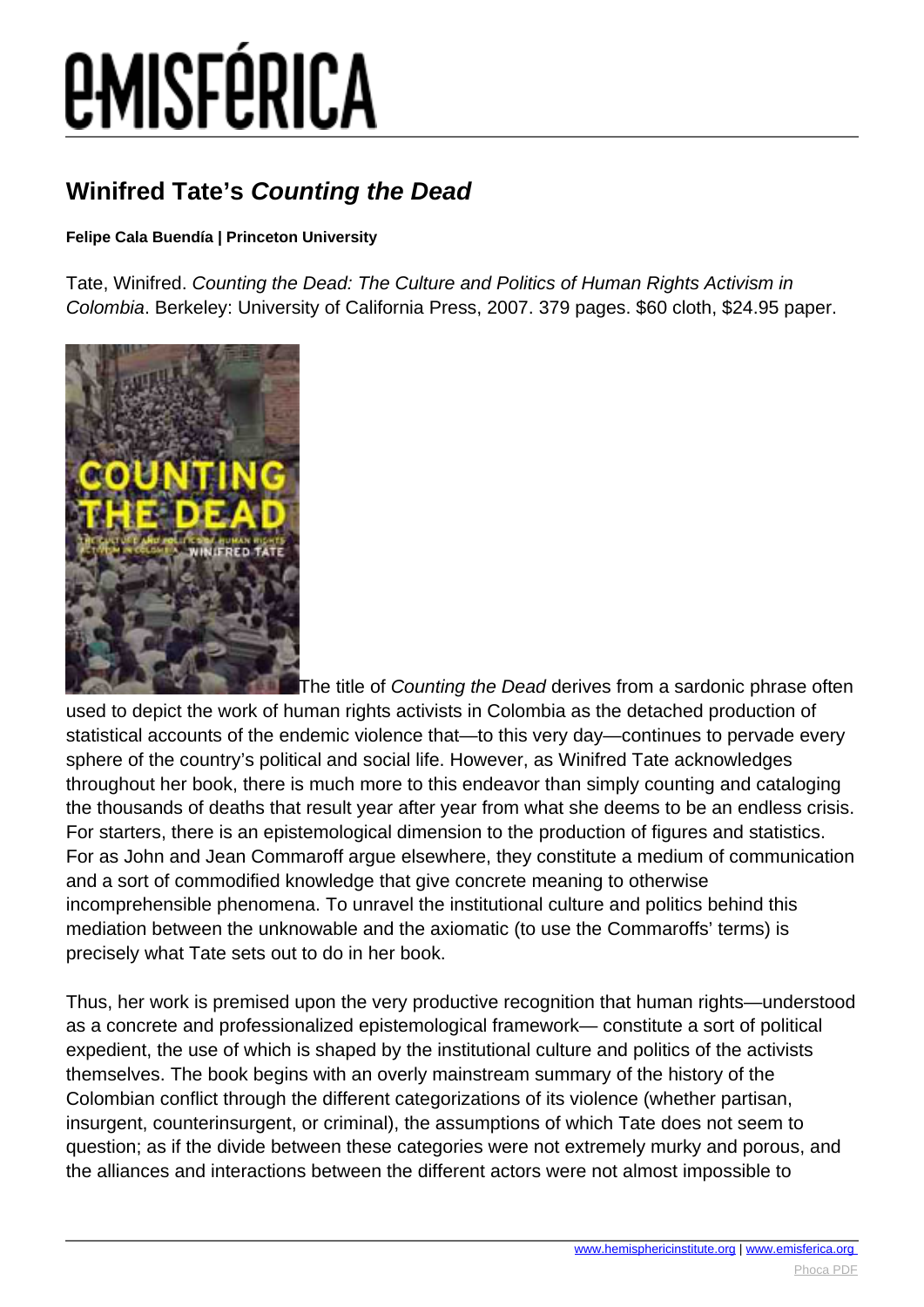# *EMISFÉRICA*

### **Winifred Tate's Counting the Dead**

#### **Felipe Cala Buendía | Princeton University**

Tate, Winifred. Counting the Dead: The Culture and Politics of Human Rights Activism in Colombia. Berkeley: University of California Press, 2007. 379 pages. \$60 cloth, \$24.95 paper.



The title of Counting the Dead derives from a sardonic phrase often used to depict the work of human rights activists in Colombia as the detached production of statistical accounts of the endemic violence that—to this very day—continues to pervade every sphere of the country's political and social life. However, as Winifred Tate acknowledges throughout her book, there is much more to this endeavor than simply counting and cataloging the thousands of deaths that result year after year from what she deems to be an endless crisis. For starters, there is an epistemological dimension to the production of figures and statistics. For as John and Jean Commaroff argue elsewhere, they constitute a medium of communication and a sort of commodified knowledge that give concrete meaning to otherwise incomprehensible phenomena. To unravel the institutional culture and politics behind this mediation between the unknowable and the axiomatic (to use the Commaroffs' terms) is precisely what Tate sets out to do in her book.

Thus, her work is premised upon the very productive recognition that human rights—understood as a concrete and professionalized epistemological framework— constitute a sort of political expedient, the use of which is shaped by the institutional culture and politics of the activists themselves. The book begins with an overly mainstream summary of the history of the Colombian conflict through the different categorizations of its violence (whether partisan, insurgent, counterinsurgent, or criminal), the assumptions of which Tate does not seem to question; as if the divide between these categories were not extremely murky and porous, and the alliances and interactions between the different actors were not almost impossible to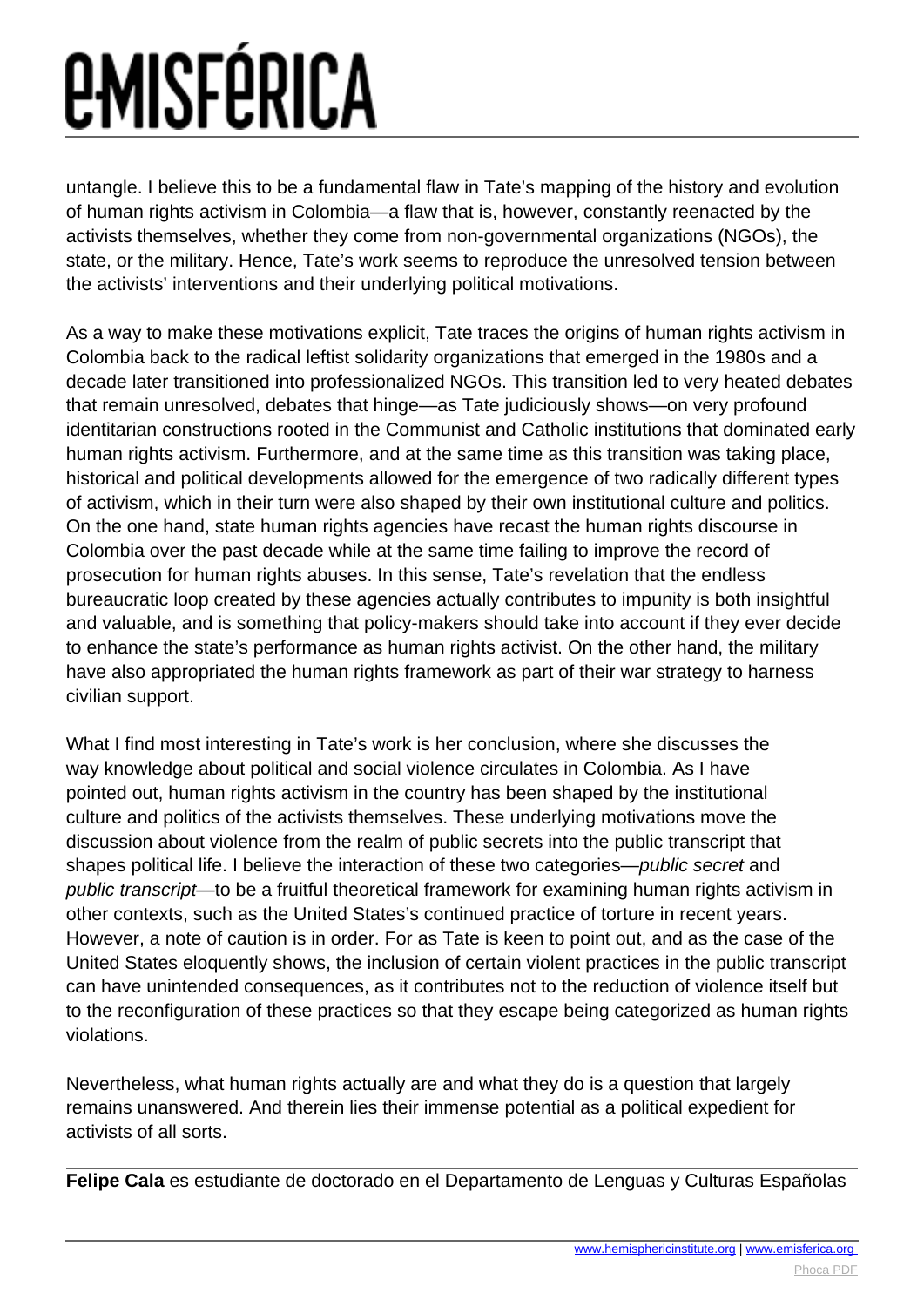## *<u>EMISFÉRICA</u>*

untangle. I believe this to be a fundamental flaw in Tate's mapping of the history and evolution of human rights activism in Colombia—a flaw that is, however, constantly reenacted by the activists themselves, whether they come from non-governmental organizations (NGOs), the state, or the military. Hence, Tate's work seems to reproduce the unresolved tension between the activists' interventions and their underlying political motivations.

As a way to make these motivations explicit, Tate traces the origins of human rights activism in Colombia back to the radical leftist solidarity organizations that emerged in the 1980s and a decade later transitioned into professionalized NGOs. This transition led to very heated debates that remain unresolved, debates that hinge—as Tate judiciously shows—on very profound identitarian constructions rooted in the Communist and Catholic institutions that dominated early human rights activism. Furthermore, and at the same time as this transition was taking place, historical and political developments allowed for the emergence of two radically different types of activism, which in their turn were also shaped by their own institutional culture and politics. On the one hand, state human rights agencies have recast the human rights discourse in Colombia over the past decade while at the same time failing to improve the record of prosecution for human rights abuses. In this sense, Tate's revelation that the endless bureaucratic loop created by these agencies actually contributes to impunity is both insightful and valuable, and is something that policy-makers should take into account if they ever decide to enhance the state's performance as human rights activist. On the other hand, the military have also appropriated the human rights framework as part of their war strategy to harness civilian support.

What I find most interesting in Tate's work is her conclusion, where she discusses the way knowledge about political and social violence circulates in Colombia. As I have pointed out, human rights activism in the country has been shaped by the institutional culture and politics of the activists themselves. These underlying motivations move the discussion about violence from the realm of public secrets into the public transcript that shapes political life. I believe the interaction of these two categories—public secret and public transcript—to be a fruitful theoretical framework for examining human rights activism in other contexts, such as the United States's continued practice of torture in recent years. However, a note of caution is in order. For as Tate is keen to point out, and as the case of the United States eloquently shows, the inclusion of certain violent practices in the public transcript can have unintended consequences, as it contributes not to the reduction of violence itself but to the reconfiguration of these practices so that they escape being categorized as human rights violations.

Nevertheless, what human rights actually are and what they do is a question that largely remains unanswered. And therein lies their immense potential as a political expedient for activists of all sorts.

**Felipe Cala** es estudiante de doctorado en el Departamento de Lenguas y Culturas Españolas